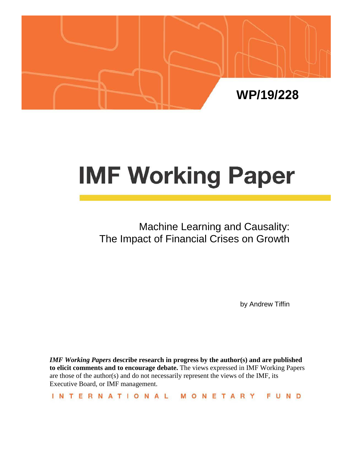

# **IMF Working Paper**

# Machine Learning and Causality: The Impact of Financial Crises on Growth

by Andrew Tiffin

*IMF Working Papers* **describe research in progress by the author(s) and are published to elicit comments and to encourage debate.** The views expressed in IMF Working Papers are those of the author(s) and do not necessarily represent the views of the IMF, its Executive Board, or IMF management.

INTERNATIONAL MONETARY FUND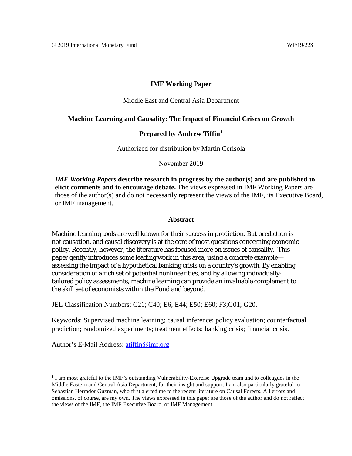#### **IMF Working Paper**

#### Middle East and Central Asia Department

#### **Machine Learning and Causality: The Impact of Financial Crises on Growth**

#### **Prepared by Andrew Tiffin[1](#page-1-0)**

Authorized for distribution by Martin Cerisola

November 2019

*IMF Working Papers* **describe research in progress by the author(s) and are published to elicit comments and to encourage debate.** The views expressed in IMF Working Papers are those of the author(s) and do not necessarily represent the views of the IMF, its Executive Board, or IMF management.

#### **Abstract**

Machine learning tools are well known for their success in prediction. But prediction is not causation, and causal discovery is at the core of most questions concerning economic policy. Recently, however, the literature has focused more on issues of causality. This paper gently introduces some leading work in this area, using a concrete example assessing the impact of a hypothetical banking crisis on a country's growth. By enabling consideration of a rich set of potential nonlinearities, and by allowing individuallytailored policy assessments, machine learning can provide an invaluable complement to the skill set of economists within the Fund and beyond.

JEL Classification Numbers: C21; C40; E6; E44; E50; E60; F3;G01; G20.

Keywords: Supervised machine learning; causal inference; policy evaluation; counterfactual prediction; randomized experiments; treatment effects; banking crisis; financial crisis.

Author's E-Mail Address: [atiffin@imf.org](mailto:atiffin@imf.org)

<span id="page-1-0"></span><sup>&</sup>lt;sup>1</sup> I am most grateful to the IMF's outstanding Vulnerability-Exercise Upgrade team and to colleagues in the Middle Eastern and Central Asia Department, for their insight and support. I am also particularly grateful to Sebastian Herrador Guzman, who first alerted me to the recent literature on Causal Forests. All errors and omissions, of course, are my own. The views expressed in this paper are those of the author and do not reflect the views of the IMF, the IMF Executive Board, or IMF Management.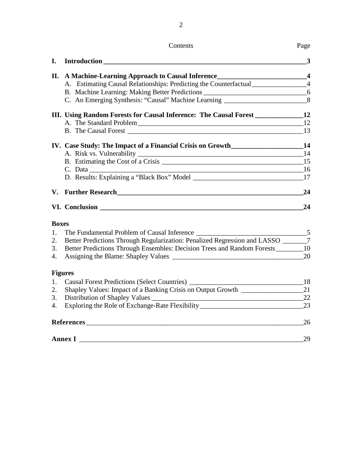Contents Page

2

|              |                                                                                     | 3  |
|--------------|-------------------------------------------------------------------------------------|----|
|              | II. A Machine-Learning Approach to Causal Inference<br>4                            |    |
|              | A. Estimating Causal Relationships: Predicting the Counterfactual______________4    |    |
|              | B. Machine Learning: Making Better Predictions _________________________________6   |    |
|              | C. An Emerging Synthesis: "Causal" Machine Learning _____________________________8  |    |
|              | III. Using Random Forests for Causal Inference: The Causal Forest _______________12 |    |
|              |                                                                                     |    |
|              |                                                                                     |    |
|              | IV. Case Study: The Impact of a Financial Crisis on Growth_______________________14 |    |
|              |                                                                                     |    |
|              |                                                                                     |    |
|              |                                                                                     |    |
|              |                                                                                     |    |
|              |                                                                                     | 24 |
|              |                                                                                     | 24 |
| <b>Boxes</b> |                                                                                     |    |
|              | 1 The Eundemantal Droblam of Causel Informed                                        | ς  |

# **Boxes**

|    | The Fundamental Problem of Causal Inference                                        | 5  |
|----|------------------------------------------------------------------------------------|----|
| 2. | Better Predictions Through Regularization: Penalized Regression and LASSO _______7 |    |
| 3. | Better Predictions Through Ensembles: Decision Trees and Random Forests            | 10 |
|    |                                                                                    | 20 |
|    | <b>Figures</b>                                                                     |    |
| 1. | Causal Forest Predictions (Select Countries) ___________________________________   | 18 |
| 2. | Shapley Values: Impact of a Banking Crisis on Output Growth __________             | 21 |
|    | 3. Distribution of Shapley Values                                                  | 22 |
| 4. | Exploring the Role of Exchange-Rate Flexibility                                    | 23 |
|    | References                                                                         | 26 |
|    |                                                                                    |    |

**Annex I** \_\_\_\_\_\_\_\_\_\_\_\_\_\_\_\_\_\_\_\_\_\_\_\_\_\_\_\_\_\_\_\_\_\_\_\_\_\_\_\_\_\_\_\_\_\_\_\_\_\_\_\_\_\_\_\_\_\_\_\_\_\_\_\_\_29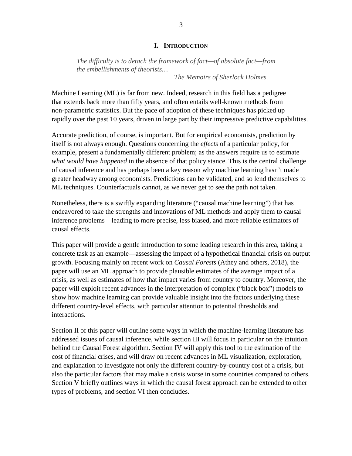#### **I. INTRODUCTION**

*The difficulty is to detach the framework of fact—of absolute fact—from the embellishments of theorists…*

*The Memoirs of Sherlock Holmes*

Machine Learning (ML) is far from new. Indeed, research in this field has a pedigree that extends back more than fifty years, and often entails well-known methods from non-parametric statistics. But the pace of adoption of these techniques has picked up rapidly over the past 10 years, driven in large part by their impressive predictive capabilities.

Accurate prediction, of course, is important. But for empirical economists, prediction by itself is not always enough. Questions concerning the *effects* of a particular policy, for example, present a fundamentally different problem; as the answers require us to estimate *what would have happened* in the absence of that policy stance. This is the central challenge of causal inference and has perhaps been a key reason why machine learning hasn't made greater headway among economists. Predictions can be validated, and so lend themselves to ML techniques. Counterfactuals cannot, as we never get to see the path not taken.

Nonetheless, there is a swiftly expanding literature ("causal machine learning") that has endeavored to take the strengths and innovations of ML methods and apply them to causal inference problems—leading to more precise, less biased, and more reliable estimators of causal effects.

This paper will provide a gentle introduction to some leading research in this area, taking a concrete task as an example—assessing the impact of a hypothetical financial crisis on output growth. Focusing mainly on recent work on *Causal Forests* (Athey and others, 2018), the paper will use an ML approach to provide plausible estimates of the average impact of a crisis, as well as estimates of how that impact varies from country to country. Moreover, the paper will exploit recent advances in the interpretation of complex ("black box") models to show how machine learning can provide valuable insight into the factors underlying these different country-level effects, with particular attention to potential thresholds and interactions.

Section II of this paper will outline some ways in which the machine-learning literature has addressed issues of causal inference, while section III will focus in particular on the intuition behind the Causal Forest algorithm. Section IV will apply this tool to the estimation of the cost of financial crises, and will draw on recent advances in ML visualization, exploration, and explanation to investigate not only the different country-by-country cost of a crisis, but also the particular factors that may make a crisis worse in some countries compared to others. Section V briefly outlines ways in which the causal forest approach can be extended to other types of problems, and section VI then concludes.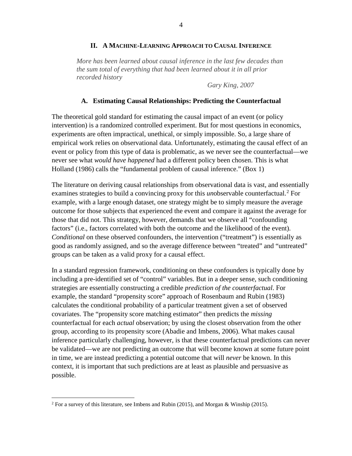# **II. A MACHINE-LEARNING APPROACH TO CAUSAL INFERENCE**

*More has been learned about causal inference in the last few decades than the sum total of everything that had been learned about it in all prior recorded history*

*Gary King, 2007*

# **A. Estimating Causal Relationships: Predicting the Counterfactual**

The theoretical gold standard for estimating the causal impact of an event (or policy intervention) is a randomized controlled experiment. But for most questions in economics, experiments are often impractical, unethical, or simply impossible. So, a large share of empirical work relies on observational data. Unfortunately, estimating the causal effect of an event or policy from this type of data is problematic, as we never see the counterfactual—we never see what *would have happened* had a different policy been chosen. This is what Holland (1986) calls the "fundamental problem of causal inference." (Box 1)

The literature on deriving causal relationships from observational data is vast, and essentially examines strategies to build a convincing proxy for this *un*observable counterfactual.<sup>[2](#page-4-0)</sup> For example, with a large enough dataset, one strategy might be to simply measure the average outcome for those subjects that experienced the event and compare it against the average for those that did not. This strategy, however, demands that we observe all "confounding factors" (i.e., factors correlated with both the outcome and the likelihood of the event). *Conditional* on these observed confounders, the intervention ("treatment") is essentially as good as randomly assigned, and so the average difference between "treated" and "untreated" groups can be taken as a valid proxy for a causal effect.

In a standard regression framework, conditioning on these confounders is typically done by including a pre-identified set of "control" variables. But in a deeper sense, such conditioning strategies are essentially constructing a credible *prediction of the counterfactual*. For example, the standard "propensity score" approach of Rosenbaum and Rubin (1983) calculates the conditional probability of a particular treatment given a set of observed covariates. The "propensity score matching estimator" then predicts the *missing* counterfactual for each *actual* observation; by using the closest observation from the other group, according to its propensity score (Abadie and Imbens, 2006). What makes causal inference particularly challenging, however, is that these counterfactual predictions can never be validated—we are not predicting an outcome that will become known at some future point in time, we are instead predicting a potential outcome that will *never* be known. In this context, it is important that such predictions are at least as plausible and persuasive as possible.

<span id="page-4-0"></span><sup>&</sup>lt;sup>2</sup> For a survey of this literature, see Imbens and Rubin (2015), and Morgan & Winship (2015).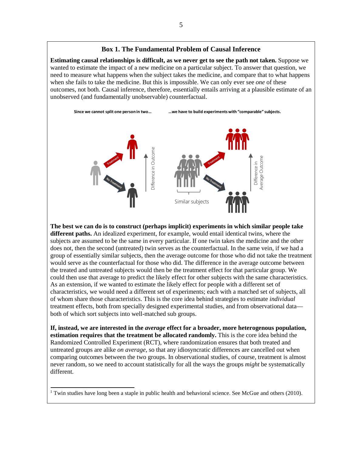# **Box 1. The Fundamental Problem of Causal Inference**

**Estimating causal relationships is difficult, as we never get to see the path not taken.** Suppose we wanted to estimate the impact of a new medicine on a particular subject. To answer that question, we need to measure what happens when the subject takes the medicine, and compare that to what happens when she fails to take the medicine. But this is impossible. We can only ever see *one* of these outcomes, not both. Causal inference, therefore, essentially entails arriving at a plausible estimate of an unobserved (and fundamentally unobservable) counterfactual.

**Since we cannot split one person in two… …we have to build experiments with "comparable" subjects.** Difference in<br>Average Outcome Similar subjects

**The best we can do is to construct (perhaps implicit) experiments in which similar people take different paths.** An idealized experiment, for example, would entail identical twins, where the subjects are assumed to be the same in every particular. If one twin takes the medicine and the other does not, then the second (untreated) twin serves as the counterfactual. In the same vein, if we had a group of essentially similar subjects, then the average outcome for those who did not take the treatment would serve as the counterfactual for those who did. The difference in the average outcome between the treated and untreated subjects would then be the treatment effect for that particular group. We could then use that average to predict the likely effect for other subjects with the same characteristics. As an extension, if we wanted to estimate the likely effect for people with a different set of characteristics, we would need a different set of experiments; each with a matched set of subjects, all of whom share those characteristics. This is the core idea behind strategies to estimate *individual* treatment effects, both from specially designed experimental studies, and from observational data both of which sort subjects into well-matched sub groups. The best we can do is to construct (perhaps implicit) experiments in which similar people take<br>different paths. An idealized experiment, for example, would entail identical twins, where the<br>different paths. An idealized e

**If, instead, we are interested in the** *average* **effect for a broader, more heterogenous population, estimation requires that the treatment be allocated randomly.** This is the core idea behind the Randomized Controlled Experiment (RCT), where randomization ensures that both treated and untreated groups are alike *on average*, so that any idiosyncratic differences are cancelled out when comparing outcomes between the two groups. In observational studies, of course, treatment is almost never random, so we need to account statistically for all the ways the groups *might* be systematically different.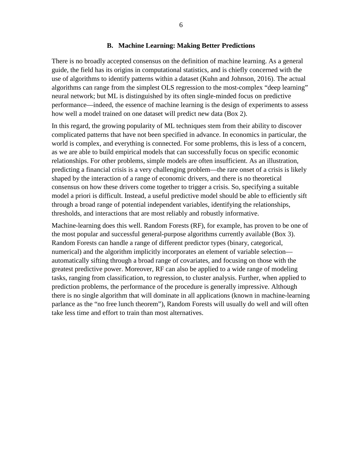#### **B. Machine Learning: Making Better Predictions**

There is no broadly accepted consensus on the definition of machine learning. As a general guide, the field has its origins in computational statistics, and is chiefly concerned with the use of algorithms to identify patterns within a dataset (Kuhn and Johnson, 2016). The actual algorithms can range from the simplest OLS regression to the most-complex "deep learning" neural network; but ML is distinguished by its often single-minded focus on predictive performance—indeed, the essence of machine learning is the design of experiments to assess how well a model trained on one dataset will predict new data (Box 2).

In this regard, the growing popularity of ML techniques stem from their ability to discover complicated patterns that have not been specified in advance. In economics in particular, the world is complex, and everything is connected. For some problems, this is less of a concern, as we are able to build empirical models that can successfully focus on specific economic relationships. For other problems, simple models are often insufficient. As an illustration, predicting a financial crisis is a very challenging problem—the rare onset of a crisis is likely shaped by the interaction of a range of economic drivers, and there is no theoretical consensus on how these drivers come together to trigger a crisis. So, specifying a suitable model a priori is difficult. Instead, a useful predictive model should be able to efficiently sift through a broad range of potential independent variables, identifying the relationships, thresholds, and interactions that are most reliably and robustly informative.

Machine-learning does this well. Random Forests (RF), for example, has proven to be one of the most popular and successful general-purpose algorithms currently available (Box 3). Random Forests can handle a range of different predictor types (binary, categorical, numerical) and the algorithm implicitly incorporates an element of variable selection automatically sifting through a broad range of covariates, and focusing on those with the greatest predictive power. Moreover, RF can also be applied to a wide range of modeling tasks, ranging from classification, to regression, to cluster analysis. Further, when applied to prediction problems, the performance of the procedure is generally impressive. Although there is no single algorithm that will dominate in all applications (known in machine-learning parlance as the "no free lunch theorem"), Random Forests will usually do well and will often take less time and effort to train than most alternatives.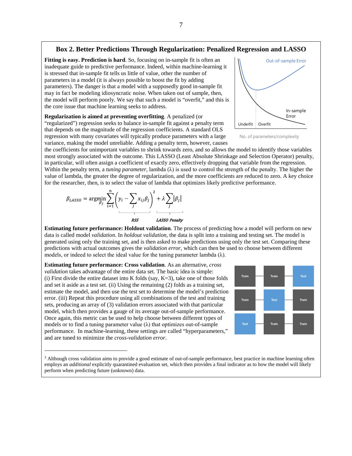#### **Box 2. Better Predictions Through Regularization: Penalized Regression and LASSO**

**Fitting is easy. Prediction is hard**. So, focusing on in-sample fit is often an inadequate guide to predictive performance. Indeed, within machine-learning it is stressed that in-sample fit tells us little of value, other the number of parameters in a model (it is always possible to boost the fit by adding parameters). The danger is that a model with a supposedly good in-sample fit may in fact be modeling idiosyncratic noise. When taken out of sample, then, the model will perform poorly. We say that such a model is "overfit," and this is the core issue that machine learning seeks to address.

**Regularization is aimed at preventing overfitting**. A penalized (or "regularized") regression seeks to balance in-sample fit against a penalty term that depends on the magnitude of the regression coefficients. A standard OLS regression with many covariates will typically produce parameters with a large variance, making the model unreliable. Adding a penalty term, however, causes



No. of parameters/complexity

the coefficients for unimportant variables to shrink towards zero, and so allows the model to identify those variables most strongly associated with the outcome. This LASSO (Least Absolute Shrinkage and Selection Operator) penalty, in particular, will often assign a coefficient of exactly zero, effectively dropping that variable from the regression. Within the penalty term, a *tuning parameter*, lambda  $(\lambda)$  is used to control the strength of the penalty. The higher the value of lambda, the greater the degree of regularization, and the more coefficients are reduced to zero. A key choice for the researcher, then, is to select the value of lambda that optimizes likely predictive performance.





**Estimating future performance: Holdout validation**. The process of predicting how a model will perform on new data is called model *validation*. In *holdout validation*, the data is split into a training and testing set. The model is generated using only the training set, and is then asked to make predictions using only the test set. Comparing these predictions with actual outcomes gives the *validation error*, which can then be used to choose between different models, or indeed to select the ideal value for the tuning parameter lambda  $(\lambda)$ .

**Estimating future performance: Cross validation**. As an alternative, *cross validation* takes advantage of the entire data set. The basic idea is simple: (i) First divide the entire dataset into K folds (say,  $K=3$ ), take one of those folds and set it aside as a test set. (ii) Using the remaining (2) folds as a training set, estimate the model, and then use the test set to determine the model's prediction error. (iii) Repeat this procedure using all combinations of the test and training sets, producing an array of (3) validation errors associated with that particular model, which then provides a gauge of its average out-of-sample performance. Once again, this metric can be used to help choose between different types of models or to find a tuning parameter value  $(\lambda)$  that optimizes out-of-sample performance. In machine-learning, these settings are called "hyperparameters," and are tuned to minimize the *cross-validation error*.



<sup>&</sup>lt;sup>3</sup> Although cross validation aims to provide a good estimate of out-of-sample performance, best practice in machine learning often employs an *additional* explicitly quarantined evaluation set, which then provides a final indicator as to how the model will likely perform when predicting future (unknown) data.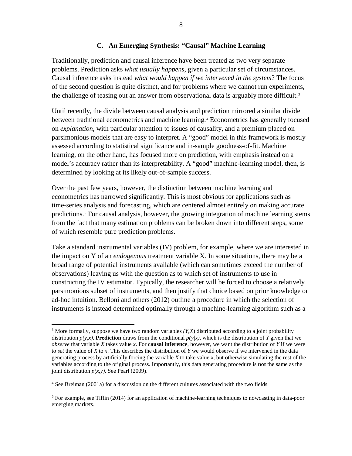# **C. An Emerging Synthesis: "Causal" Machine Learning**

Traditionally, prediction and causal inference have been treated as two very separate problems. Prediction asks *what usually happens*, given a particular set of circumstances. Causal inference asks instead *what would happen if we intervened in the system*? The focus of the second question is quite distinct, and for problems where we cannot run experiments, the challenge of teasing out an answer from observational data is arguably more difficult.<sup>[3](#page-8-0)</sup>

Until recently, the divide between causal analysis and prediction mirrored a similar divide between traditional econometrics and machine learning.<sup>[4](#page-8-1)</sup> Econometrics has generally focused on *explanation*, with particular attention to issues of causality, and a premium placed on parsimonious models that are easy to interpret. A "good" model in this framework is mostly assessed according to statistical significance and in-sample goodness-of-fit. Machine learning, on the other hand, has focused more on prediction, with emphasis instead on a model's accuracy rather than its interpretability. A "good" machine-learning model, then, is determined by looking at its likely out-of-sample success.

Over the past few years, however, the distinction between machine learning and econometrics has narrowed significantly. This is most obvious for applications such as time-series analysis and forecasting, which are centered almost entirely on making accurate predictions.<sup>[5](#page-8-2)</sup> For causal analysis, however, the growing integration of machine learning stems from the fact that many estimation problems can be broken down into different steps, some of which resemble pure prediction problems.

Take a standard instrumental variables (IV) problem, for example, where we are interested in the impact on Y of an *endogenous* treatment variable X. In some situations, there may be a broad range of potential instruments available (which can sometimes exceed the number of observations) leaving us with the question as to which set of instruments to use in constructing the IV estimator. Typically, the researcher will be forced to choose a relatively parsimonious subset of instruments, and then justify that choice based on prior knowledge or ad-hoc intuition. Belloni and others (2012) outline a procedure in which the selection of instruments is instead determined optimally through a machine-learning algorithm such as a

<span id="page-8-0"></span><sup>&</sup>lt;sup>3</sup> More formally, suppose we have two random variables *(Y,X)* distributed according to a joint probability distribution  $p(y,x)$ . **Prediction** draws from the conditional  $p(y|x)$ , which is the distribution of *Y* given that we *observe* that variable *X* takes value *x*. For **causal inference**, however, we want the distribution of *Y* if we were to *set* the value of *X* to *x*. This describes the distribution of *Y* we would observe if we intervened in the data generating process by artificially forcing the variable *X* to take value *x*, but otherwise simulating the rest of the variables according to the original process. Importantly, this data generating procedure is **not** the same as the joint distribution  $p(x, y)$ . See Pearl (2009).

<span id="page-8-1"></span><sup>4</sup> See Breiman (2001a) for a discussion on the different cultures associated with the two fields.

<span id="page-8-2"></span><sup>&</sup>lt;sup>5</sup> For example, see Tiffin (2014) for an application of machine-learning techniques to nowcasting in data-poor emerging markets.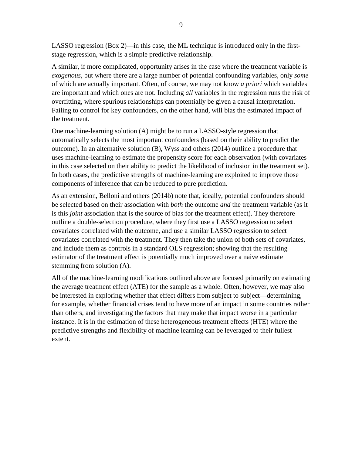LASSO regression (Box 2)—in this case, the ML technique is introduced only in the firststage regression, which is a simple predictive relationship.

A similar, if more complicated, opportunity arises in the case where the treatment variable is *exogenous*, but where there are a large number of potential confounding variables, only *some* of which are actually important. Often, of course, we may not know *a priori* which variables are important and which ones are not. Including *all* variables in the regression runs the risk of overfitting, where spurious relationships can potentially be given a causal interpretation. Failing to control for key confounders, on the other hand, will bias the estimated impact of the treatment.

One machine-learning solution (A) might be to run a LASSO-style regression that automatically selects the most important confounders (based on their ability to predict the outcome). In an alternative solution (B), Wyss and others (2014) outline a procedure that uses machine-learning to estimate the propensity score for each observation (with covariates in this case selected on their ability to predict the likelihood of inclusion in the treatment set). In both cases, the predictive strengths of machine-learning are exploited to improve those components of inference that can be reduced to pure prediction.

As an extension, Belloni and others (2014b) note that, ideally, potential confounders should be selected based on their association with *both* the outcome *and* the treatment variable (as it is this *joint* association that is the source of bias for the treatment effect). They therefore outline a double-selection procedure, where they first use a LASSO regression to select covariates correlated with the outcome, and use a similar LASSO regression to select covariates correlated with the treatment. They then take the union of both sets of covariates, and include them as controls in a standard OLS regression; showing that the resulting estimator of the treatment effect is potentially much improved over a naive estimate stemming from solution (A).

All of the machine-learning modifications outlined above are focused primarily on estimating the average treatment effect (ATE) for the sample as a whole. Often, however, we may also be interested in exploring whether that effect differs from subject to subject—determining, for example, whether financial crises tend to have more of an impact in some countries rather than others, and investigating the factors that may make that impact worse in a particular instance. It is in the estimation of these heterogeneous treatment effects (HTE) where the predictive strengths and flexibility of machine learning can be leveraged to their fullest extent.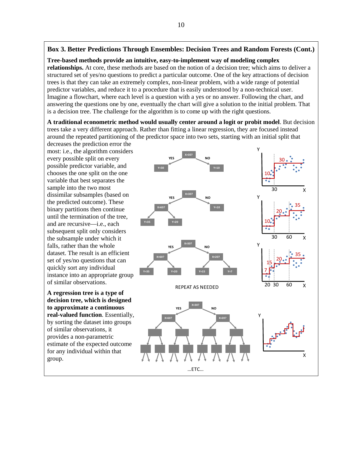# **Box 3. Better Predictions Through Ensembles: Decision Trees and Random Forests (Cont.)**

**Tree-based methods provide an intuitive, easy-to-implement way of modeling complex relationships.** At core, these methods are based on the notion of a decision tree; which aims to deliver a structured set of yes/no questions to predict a particular outcome. One of the key attractions of decision trees is that they can take an extremely complex, non-linear problem, with a wide range of potential predictor variables, and reduce it to a procedure that is easily understood by a non-technical user. Imagine a flowchart, where each level is a question with a yes or no answer. Following the chart, and answering the questions one by one, eventually the chart will give a solution to the initial problem. That is a decision tree. The challenge for the algorithm is to come up with the right questions.

**A traditional econometric method would usually center around a logit or probit model**. But decision trees take a very different approach. Rather than fitting a linear regression, they are focused instead around the repeated partitioning of the predictor space into two sets, starting with an initial split that

decreases the prediction error the most: i.e., the algorithm considers every possible split on every possible predictor variable, and chooses the one split on the one variable that best separates the sample into the two most dissimilar subsamples (based on the predicted outcome). These binary partitions then continue until the termination of the tree, and are recursive—i.e., each subsequent split only considers the subsample under which it falls, rather than the whole dataset. The result is an efficient set of yes/no questions that can quickly sort any individual instance into an appropriate group of similar observations.

**A regression tree is a type of decision tree, which is designed to approximate a continuous real-valued function**. Essentially, by sorting the dataset into groups of similar observations, it provides a non-parametric estimate of the expected outcome for any individual within that group.

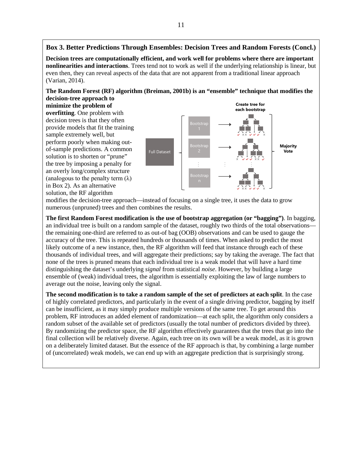#### **Box 3. Better Predictions Through Ensembles: Decision Trees and Random Forests (Concl.)**

**Decision trees are computationally efficient, and work well for problems where there are important nonlinearities and interactions**. Trees tend not to work as well if the underlying relationship is linear, but even then, they can reveal aspects of the data that are not apparent from a traditional linear approach (Varian, 2014).

**The Random Forest (RF) algorithm (Breiman, 2001b) is an "ensemble" technique that modifies the decision-tree approach to** 

**minimize the problem of overfitting**. One problem with decision trees is that they often provide models that fit the training sample extremely well, but perform poorly when making outof-sample predictions. A common solution is to shorten or "prune" the tree by imposing a penalty for an overly long/complex structure (analogous to the penalty term  $(\lambda)$ ) in Box 2). As an alternative solution, the RF algorithm



modifies the decision-tree approach—instead of focusing on a single tree, it uses the data to grow numerous (unpruned) trees and then combines the results.

**The first Random Forest modification is the use of bootstrap aggregation (or "bagging")**. In bagging, an individual tree is built on a random sample of the dataset, roughly two thirds of the total observations the remaining one-third are referred to as out-of bag (OOB) observations and can be used to gauge the accuracy of the tree. This is repeated hundreds or thousands of times. When asked to predict the most likely outcome of a new instance, then, the RF algorithm will feed that instance through each of these thousands of individual trees, and will aggregate their predictions; say by taking the average. The fact that none of the trees is pruned means that each individual tree is a weak model that will have a hard time distinguishing the dataset's underlying *signal* from statistical *noise*. However, by building a large ensemble of (weak) individual trees, the algorithm is essentially exploiting the law of large numbers to average out the noise, leaving only the signal.

**The second modification is to take a random sample of the set of predictors at each split**. In the case of highly correlated predictors, and particularly in the event of a single driving predictor, bagging by itself can be insufficient, as it may simply produce multiple versions of the same tree. To get around this problem, RF introduces an added element of randomization—at each split, the algorithm only considers a random subset of the available set of predictors (usually the total number of predictors divided by three). By randomizing the predictor space, the RF algorithm effectively guarantees that the trees that go into the final collection will be relatively diverse. Again, each tree on its own will be a weak model, as it is grown on a deliberately limited dataset. But the essence of the RF approach is that, by combining a large number of (uncorrelated) weak models, we can end up with an aggregate prediction that is surprisingly strong.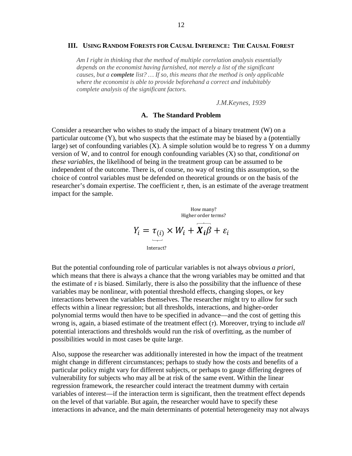#### **III. USING RANDOM FORESTS FOR CAUSAL INFERENCE: THE CAUSAL FOREST**

*Am I right in thinking that the method of multiple correlation analysis essentially depends on the economist having furnished, not merely a list of the significant causes, but a complete list? … If so, this means that the method is only applicable where the economist is able to provide beforehand a correct and indubitably complete analysis of the significant factors.*

*J.M.Keynes, 1939*

#### **A. The Standard Problem**

Consider a researcher who wishes to study the impact of a binary treatment (W) on a particular outcome  $(Y)$ , but who suspects that the estimate may be biased by a (potentially large) set of confounding variables  $(X)$ . A simple solution would be to regress Y on a dummy version of W, and to control for enough confounding variables (X) so that, *conditional on these variables*, the likelihood of being in the treatment group can be assumed to be independent of the outcome. There is, of course, no way of testing this assumption, so the choice of control variables must be defended on theoretical grounds or on the basis of the researcher's domain expertise. The coefficient  $τ$ , then, is an estimate of the average treatment impact for the sample.

> $Y_i = \tau_{(i)} \times W_i + \overrightarrow{X_i \beta} + \varepsilon_i$ Interact? How many? Higher order terms?

But the potential confounding role of particular variables is not always obvious *a priori*, which means that there is always a chance that the wrong variables may be omitted and that the estimate of  $\tau$  is biased. Similarly, there is also the possibility that the influence of these variables may be nonlinear, with potential threshold effects, changing slopes, or key interactions between the variables themselves. The researcher might try to allow for such effects within a linear regression; but all thresholds, interactions, and higher-order polynomial terms would then have to be specified in advance—and the cost of getting this wrong is, again, a biased estimate of the treatment effect (*τ*). Moreover, trying to include *all* potential interactions and thresholds would run the risk of overfitting, as the number of possibilities would in most cases be quite large.

Also, suppose the researcher was additionally interested in how the impact of the treatment might change in different circumstances; perhaps to study how the costs and benefits of a particular policy might vary for different subjects, or perhaps to gauge differing degrees of vulnerability for subjects who may all be at risk of the same event. Within the linear regression framework, the researcher could interact the treatment dummy with certain variables of interest—if the interaction term is significant, then the treatment effect depends on the level of that variable. But again, the researcher would have to specify these interactions in advance, and the main determinants of potential heterogeneity may not always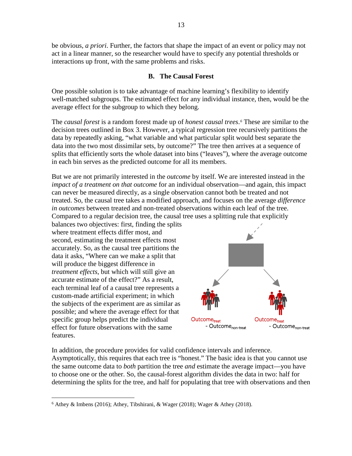be obvious, *a priori*. Further, the factors that shape the impact of an event or policy may not act in a linear manner, so the researcher would have to specify any potential thresholds or interactions up front, with the same problems and risks.

### **B. The Causal Forest**

One possible solution is to take advantage of machine learning's flexibility to identify well-matched subgroups. The estimated effect for any individual instance, then, would be the average effect for the subgroup to which they belong.

The *causal forest* is a random forest made up of *honest causal trees*.*[6](#page-13-0)* These are similar to the decision trees outlined in Box 3. However, a typical regression tree recursively partitions the data by repeatedly asking, "what variable and what particular split would best separate the data into the two most dissimilar sets, by outcome?" The tree then arrives at a sequence of splits that efficiently sorts the whole dataset into bins ("leaves"), where the average outcome in each bin serves as the predicted outcome for all its members.

But we are not primarily interested in the *outcome* by itself. We are interested instead in the *impact of a treatment on that outcome* for an individual observation—and again, this impact can never be measured directly, as a single observation cannot both be treated and not treated. So, the causal tree takes a modified approach, and focuses on the average *difference in outcomes* between treated and non-treated observations within each leaf of the tree. Compared to a regular decision tree, the causal tree uses a splitting rule that explicitly

balances two objectives: first, finding the splits where treatment effects differ most, and second, estimating the treatment effects most accurately. So, as the causal tree partitions the data it asks, "Where can we make a split that will produce the biggest difference in *treatment effects*, but which will still give an accurate estimate of the effect?" As a result, each terminal leaf of a causal tree represents a custom-made artificial experiment; in which the subjects of the experiment are as similar as possible; and where the average effect for that specific group helps predict the individual effect for future observations with the same features.



In addition, the procedure provides for valid confidence intervals and inference. Asymptotically, this requires that each tree is "honest." The basic idea is that you cannot use the same outcome data to *both* partition the tree *and* estimate the average impact—you have to choose one or the other. So, the causal-forest algorithm divides the data in two: half for determining the splits for the tree, and half for populating that tree with observations and then

<span id="page-13-0"></span> $6$  Athey & Imbens (2016); Athey, Tibshirani, & Wager (2018); Wager & Athey (2018).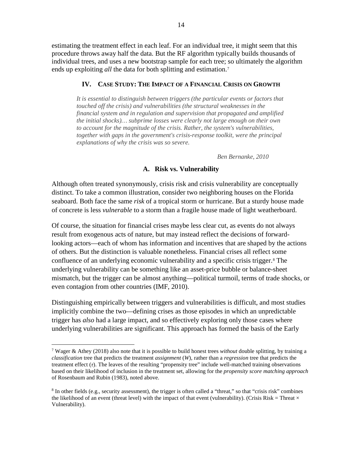estimating the treatment effect in each leaf. For an individual tree, it might seem that this procedure throws away half the data. But the RF algorithm typically builds thousands of individual trees, and uses a new bootstrap sample for each tree; so ultimately the algorithm ends up exploiting *all* the data for both splitting and estimation.<sup>[7](#page-14-0)</sup>

# **IV. CASE STUDY: THE IMPACT OF A FINANCIAL CRISIS ON GROWTH**

*It is essential to distinguish between triggers (the particular events or factors that touched off the crisis) and vulnerabilities (the structural weaknesses in the financial system and in regulation and supervision that propagated and amplified the initial shocks)… subprime losses were clearly not large enough on their own to account for the magnitude of the crisis. Rather, the system's vulnerabilities, together with gaps in the government's crisis-response toolkit, were the principal explanations of why the crisis was so severe.*

*Ben Bernanke, 2010*

# **A. Risk vs. Vulnerability**

Although often treated synonymously, crisis risk and crisis vulnerability are conceptually distinct. To take a common illustration, consider two neighboring houses on the Florida seaboard. Both face the same *risk* of a tropical storm or hurricane. But a sturdy house made of concrete is less *vulnerable* to a storm than a fragile house made of light weatherboard.

Of course, the situation for financial crises maybe less clear cut, as events do not always result from exogenous acts of nature, but may instead reflect the decisions of forwardlooking actors—each of whom has information and incentives that are shaped by the actions of others. But the distinction is valuable nonetheless. Financial crises all reflect some confluence of an underlying economic vulnerability and a specific crisis trigger.[8](#page-14-1) The underlying vulnerability can be something like an asset-price bubble or balance-sheet mismatch, but the trigger can be almost anything—political turmoil, terms of trade shocks, or even contagion from other countries (IMF, 2010).

Distinguishing empirically between triggers and vulnerabilities is difficult, and most studies implicitly combine the two—defining crises as those episodes in which an unpredictable trigger has *also* had a large impact, and so effectively exploring only those cases where underlying vulnerabilities are significant. This approach has formed the basis of the Early

<span id="page-14-0"></span> <sup>7</sup> Wager & Athey (2018) also note that it is possible to build honest trees *without* double splitting, by training a *classification* tree that predicts the treatment *assignment* (*W*), rather than a *regression* tree that predicts the treatment effect  $(\tau)$ . The leaves of the resulting "propensity tree" include well-matched training observations based on their likelihood of inclusion in the treatment set, allowing for the *propensity score matching approach* of Rosenbaum and Rubin (1983), noted above.

<span id="page-14-1"></span> $8$  In other fields (e.g., security assessment), the trigger is often called a "threat," so that "crisis risk" combines the likelihood of an event (threat level) with the impact of that event (vulnerability). (Crisis Risk = Threat  $\times$ Vulnerability).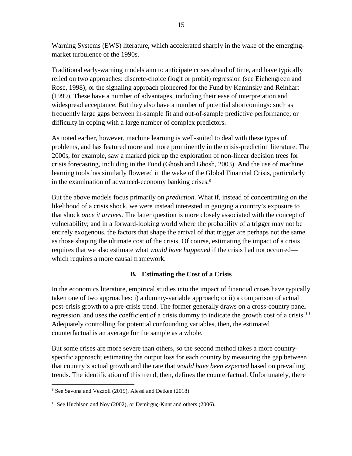Warning Systems (EWS) literature, which accelerated sharply in the wake of the emergingmarket turbulence of the 1990s.

Traditional early-warning models aim to anticipate crises ahead of time, and have typically relied on two approaches: discrete-choice (logit or probit) regression (see Eichengreen and Rose, 1998); or the signaling approach pioneered for the Fund by Kaminsky and Reinhart (1999). These have a number of advantages, including their ease of interpretation and widespread acceptance. But they also have a number of potential shortcomings: such as frequently large gaps between in-sample fit and out-of-sample predictive performance; or difficulty in coping with a large number of complex predictors.

As noted earlier, however, machine learning is well-suited to deal with these types of problems, and has featured more and more prominently in the crisis-prediction literature. The 2000s, for example, saw a marked pick up the exploration of non-linear decision trees for crisis forecasting, including in the Fund (Ghosh and Ghosh, 2003). And the use of machine learning tools has similarly flowered in the wake of the Global Financial Crisis, particularly in the examination of advanced-economy banking crises.<sup>[9](#page-15-0)</sup>

But the above models focus primarily on *prediction*. What if, instead of concentrating on the likelihood of a crisis shock, we were instead interested in gauging a country's exposure to that shock *once it arrives*. The latter question is more closely associated with the concept of vulnerability; and in a forward-looking world where the probability of a trigger may not be entirely exogenous, the factors that shape the arrival of that trigger are perhaps not the same as those shaping the ultimate cost of the crisis. Of course, estimating the impact of a crisis requires that we also estimate what *would have happened* if the crisis had not occurred which requires a more causal framework.

# **B. Estimating the Cost of a Crisis**

In the economics literature, empirical studies into the impact of financial crises have typically taken one of two approaches: i) a dummy-variable approach; or ii) a comparison of actual post-crisis growth to a pre-crisis trend. The former generally draws on a cross-country panel regression, and uses the coefficient of a crisis dummy to indicate the growth cost of a crisis.<sup>[10](#page-15-1)</sup> Adequately controlling for potential confounding variables, then, the estimated counterfactual is an average for the sample as a whole.

But some crises are more severe than others, so the second method takes a more countryspecific approach; estimating the output loss for each country by measuring the gap between that country's actual growth and the rate that *would have been expected* based on prevailing trends. The identification of this trend, then, defines the counterfactual. Unfortunately, there

<span id="page-15-0"></span><sup>&</sup>lt;sup>9</sup> See Savona and Vezzoli (2015), Alessi and Detken (2018).

<span id="page-15-1"></span><sup>10</sup> See Huchison and Noy (2002), or Demirgüç-Kunt and others (2006).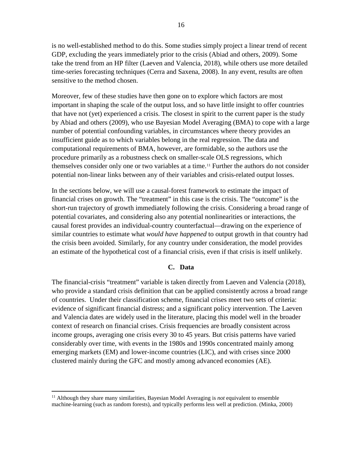is no well-established method to do this. Some studies simply project a linear trend of recent GDP, excluding the years immediately prior to the crisis (Abiad and others, 2009). Some take the trend from an HP filter (Laeven and Valencia, 2018), while others use more detailed time-series forecasting techniques (Cerra and Saxena, 2008). In any event, results are often sensitive to the method chosen.

Moreover, few of these studies have then gone on to explore which factors are most important in shaping the scale of the output loss, and so have little insight to offer countries that have not (yet) experienced a crisis. The closest in spirit to the current paper is the study by Abiad and others (2009), who use Bayesian Model Averaging (BMA) to cope with a large number of potential confounding variables, in circumstances where theory provides an insufficient guide as to which variables belong in the real regression. The data and computational requirements of BMA, however, are formidable, so the authors use the procedure primarily as a robustness check on smaller-scale OLS regressions, which themselves consider only one or two variables at a time.[11](#page-16-0) Further the authors do not consider potential non-linear links between any of their variables and crisis-related output losses.

In the sections below, we will use a causal-forest framework to estimate the impact of financial crises on growth. The "treatment" in this case is the crisis. The "outcome" is the short-run trajectory of growth immediately following the crisis. Considering a broad range of potential covariates, and considering also any potential nonlinearities or interactions, the causal forest provides an individual-country counterfactual—drawing on the experience of similar countries to estimate what *would have happened* to output growth in that country had the crisis been avoided. Similarly, for any country under consideration, the model provides an estimate of the hypothetical cost of a financial crisis, even if that crisis is itself unlikely.

#### **C. Data**

The financial-crisis "treatment" variable is taken directly from Laeven and Valencia (2018), who provide a standard crisis definition that can be applied consistently across a broad range of countries. Under their classification scheme, financial crises meet two sets of criteria: evidence of significant financial distress; and a significant policy intervention. The Laeven and Valencia dates are widely used in the literature, placing this model well in the broader context of research on financial crises. Crisis frequencies are broadly consistent across income groups, averaging one crisis every 30 to 45 years. But crisis patterns have varied considerably over time, with events in the 1980s and 1990s concentrated mainly among emerging markets (EM) and lower-income countries (LIC), and with crises since 2000 clustered mainly during the GFC and mostly among advanced economies (AE).

<span id="page-16-0"></span> <sup>11</sup> Although they share many similarities, Bayesian Model Averaging is *not* equivalent to ensemble machine-learning (such as random forests), and typically performs less well at prediction. (Minka, 2000)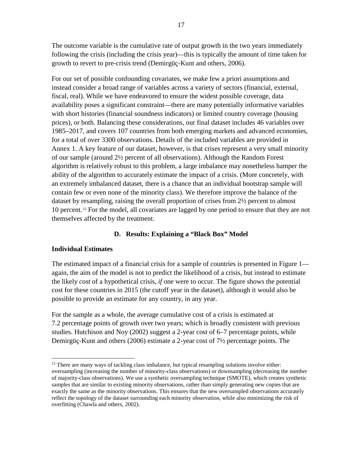The outcome variable is the cumulative rate of output growth in the two years immediately following the crisis (including the crisis year)—this is typically the amount of time taken for growth to revert to pre-crisis trend (Demirgüç-Kunt and others, 2006).

For our set of possible confounding covariates, we make few a priori assumptions and instead consider a broad range of variables across a variety of sectors (financial, external, fiscal, real). While we have endeavored to ensure the widest possible coverage, data availability poses a significant constraint—there are many potentially informative variables with short histories (financial soundness indicators) or limited country coverage (housing prices), or both. Balancing these considerations, our final dataset includes 46 variables over 1985–2017, and covers 107 countries from both emerging markets and advanced economies, for a total of over 3300 observations. Details of the included variables are provided in Annex 1. A key feature of our dataset, however, is that crises represent a very small minority of our sample (around 2½ percent of all observations). Although the Random Forest algorithm is relatively robust to this problem, a large imbalance may nonetheless hamper the ability of the algorithm to accurately estimate the impact of a crisis. (More concretely, with an extremely imbalanced dataset, there is a chance that an individual bootstrap sample will contain few or even none of the minority class). We therefore improve the balance of the dataset by resampling, raising the overall proportion of crises from 2½ percent to almost 10 percent.[12](#page-17-0) For the model, all covariates are lagged by one period to ensure that they are not themselves affected by the treatment.

# **D. Results: Explaining a "Black Box" Model**

# **Individual Estimates**

The estimated impact of a financial crisis for a sample of countries is presented in Figure 1 again, the aim of the model is not to predict the likelihood of a crisis, but instead to estimate the likely *cost* of a hypothetical crisis, *if* one were to occur. The figure shows the potential cost for these countries in 2015 (the cutoff year in the dataset), although it would also be possible to provide an estimate for any country, in any year.

For the sample as a whole, the average cumulative cost of a crisis is estimated at 7.2 percentage points of growth over two years; which is broadly consistent with previous studies. Hutchison and Noy (2002) suggest a 2-year cost of 6–7 percentage points, while Demirgüç-Kunt and others (2006) estimate a 2-year cost of 7½ percentage points. The

<span id="page-17-0"></span> $12$  There are many ways of tackling class imbalance, but typical resampling solutions involve either: oversampling (increasing the number of minority-class observations) or downsampling (decreasing the number of majority-class observations). We use a synthetic oversampling technique (SMOTE), which creates synthetic samples that are similar to existing minority observations, rather than simply generating new copies that are exactly the same as the minority observations. This ensures that the new oversampled observations accurately reflect the topology of the dataset surrounding each minority observation, while also minimizing the risk of overfitting (Chawla and others, 2002).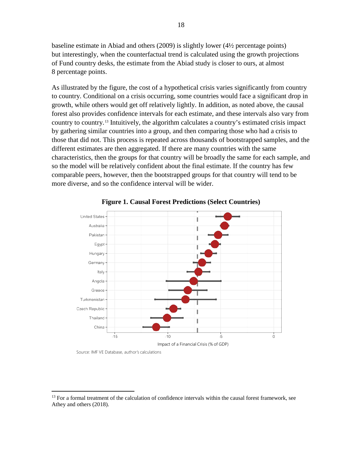baseline estimate in Abiad and others (2009) is slightly lower (4½ percentage points) but interestingly, when the counterfactual trend is calculated using the growth projections of Fund country desks, the estimate from the Abiad study is closer to ours, at almost 8 percentage points.

As illustrated by the figure, the cost of a hypothetical crisis varies significantly from country to country. Conditional on a crisis occurring, some countries would face a significant drop in growth, while others would get off relatively lightly. In addition, as noted above, the causal forest also provides confidence intervals for each estimate, and these intervals also vary from country to country.[13](#page-18-0) Intuitively, the algorithm calculates a country's estimated crisis impact by gathering similar countries into a group, and then comparing those who had a crisis to those that did not. This process is repeated across thousands of bootstrapped samples, and the different estimates are then aggregated. If there are many countries with the same characteristics, then the groups for that country will be broadly the same for each sample, and so the model will be relatively confident about the final estimate. If the country has few comparable peers, however, then the bootstrapped groups for that country will tend to be more diverse, and so the confidence interval will be wider.





Source: IMF VE Database, author's calculations

<span id="page-18-0"></span><sup>&</sup>lt;sup>13</sup> For a formal treatment of the calculation of confidence intervals within the causal forest framework, see Athey and others (2018).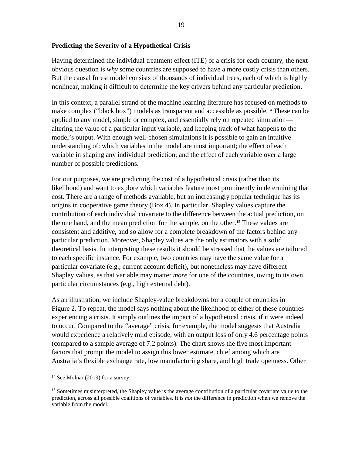# **Predicting the Severity of a Hypothetical Crisis**

Having determined the individual treatment effect (ITE) of a crisis for each country, the next obvious question is *why* some countries are supposed to have a more costly crisis than others. But the causal forest model consists of thousands of individual trees, each of which is highly nonlinear, making it difficult to determine the key drivers behind any particular prediction.

In this context, a parallel strand of the machine learning literature has focused on methods to make complex ("black box") models as transparent and accessible as possible.[14](#page-19-0) These can be applied to any model, simple or complex, and essentially rely on repeated simulation altering the value of a particular input variable, and keeping track of what happens to the model's output. With enough well-chosen simulations it is possible to gain an intuitive understanding of: which variables in the model are most important; the effect of each variable in shaping any individual prediction; and the effect of each variable over a large number of possible predictions.

For our purposes, we are predicting the cost of a hypothetical crisis (rather than its likelihood) and want to explore which variables feature most prominently in determining that cost. There are a range of methods available, but an increasingly popular technique has its origins in cooperative game theory (Box 4). In particular, Shapley values capture the contribution of each individual covariate to the difference between the actual prediction, on the one hand, and the mean prediction for the sample, on the other.[15](#page-19-1) These values are consistent and additive, and so allow for a complete breakdown of the factors behind any particular prediction. Moreover, Shapley values are the only estimators with a solid theoretical basis. In interpreting these results it should be stressed that the values are tailored to each specific instance. For example, two countries may have the same value for a particular covariate (e.g., current account deficit), but nonetheless may have different Shapley values, as that variable may matter *more* for one of the countries, owing to its own particular circumstances (e.g., high external debt).

As an illustration, we include Shapley-value breakdowns for a couple of countries in Figure 2. To repeat, the model says nothing about the likelihood of either of these countries experiencing a crisis. It simply outlines the impact of a hypothetical crisis, if it were indeed to occur. Compared to the "average" crisis, for example, the model suggests that Australia would experience a relatively mild episode, with an output loss of only 4.6 percentage points (compared to a sample average of 7.2 points). The chart shows the five most important factors that prompt the model to assign this lower estimate, chief among which are Australia's flexible exchange rate, low manufacturing share, and high trade openness. Other

<span id="page-19-0"></span><sup>&</sup>lt;sup>14</sup> See Molnar (2019) for a survey.

<span id="page-19-1"></span><sup>&</sup>lt;sup>15</sup> Sometimes misinterpreted, the Shapley value is the average contribution of a particular covariate value to the prediction, across all possible coalitions of variables. It is *not* the difference in prediction when we remove the variable from the model.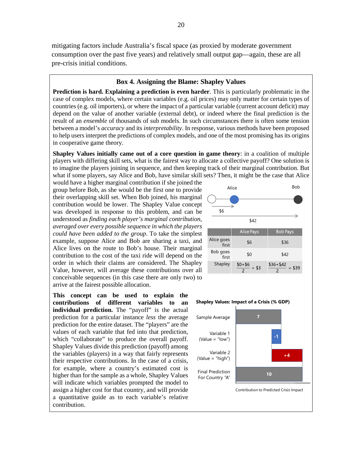mitigating factors include Australia's fiscal space (as proxied by moderate government consumption over the past five years) and relatively small output gap—again, these are all pre-crisis initial conditions.

#### **Box 4. Assigning the Blame: Shapley Values**

**Prediction is hard. Explaining a prediction is even harder**. This is particularly problematic in the case of complex models, where certain variables (e.g. oil prices) may only matter for certain types of countries (e.g. oil importers), or where the impact of a particular variable (current account deficit) may depend on the value of another variable (external debt), or indeed where the final prediction is the result of an *ensemble* of thousands of sub models. In such circumstances there is often some tension between a model's *accuracy* and its *interpretability*. In response, various methods have been proposed to help users interpret the predictions of complex models, and one of the most promising has its origins in cooperative game theory.

**Shapley Values initially came out of a core question in game theory**: in a coalition of multiple players with differing skill sets, what is the fairest way to allocate a collective payoff? One solution is to imagine the players joining in sequence, and then keeping track of their marginal contribution. But what if some players, say Alice and Bob, have similar skill sets? Then, it might be the case that Alice

would have a higher marginal contribution if she joined the group before Bob, as she would be the first one to provide their overlapping skill set. When Bob joined, his marginal contribution would be lower. The Shapley Value concept was developed in response to this problem, and can be understood as *finding each player's marginal contribution, averaged over every possible sequence in which the players could have been added to the group*. To take the simplest example, suppose Alice and Bob are sharing a taxi, and Alice lives on the route to Bob's house. Their marginal contribution to the cost of the taxi ride will depend on the order in which their claims are considered. The Shapley Value, however, will average these contributions over all conceivable sequences (in this case there are only two) to arrive at the fairest possible allocation.

**This concept can be used to explain the contributions of different variables to an**  individual prediction. The "payoff" is the actual prediction for a particular instance *less* the average prediction for the entire dataset. The "players" are the values of each variable that fed into that prediction, which "collaborate" to produce the overall payoff. Shapley Values divide this prediction (payoff) among the variables (players) in a way that fairly represents their respective contributions. In the case of a crisis, for example, where a country's estimated cost is higher than for the sample as a whole, Shapley Values will indicate which variables prompted the model to assign a higher cost for that country, and will provide a quantitative guide as to each variable's relative contribution.



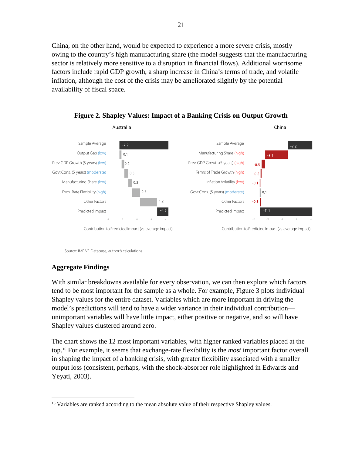China, on the other hand, would be expected to experience a more severe crisis, mostly owing to the country's high manufacturing share (the model suggests that the manufacturing sector is relatively more sensitive to a disruption in financial flows). Additional worrisome factors include rapid GDP growth, a sharp increase in China's terms of trade, and volatile inflation, although the cost of the crisis may be ameliorated slightly by the potential availability of fiscal space.



**Figure 2. Shapley Values: Impact of a Banking Crisis on Output Growth**

Source: IMF VE Database, author's calculations

# **Aggregate Findings**

With similar breakdowns available for every observation, we can then explore which factors tend to be most important for the sample as a whole. For example, Figure 3 plots individual Shapley values for the entire dataset. Variables which are more important in driving the model's predictions will tend to have a wider variance in their individual contribution unimportant variables will have little impact, either positive or negative, and so will have Shapley values clustered around zero.

The chart shows the 12 most important variables, with higher ranked variables placed at the top.[16](#page-21-0) For example, it seems that exchange-rate flexibility is the *most* important factor overall in shaping the impact of a banking crisis, with greater flexibility associated with a smaller output loss (consistent, perhaps, with the shock-absorber role highlighted in Edwards and Yeyati, 2003).

<span id="page-21-0"></span><sup>&</sup>lt;sup>16</sup> Variables are ranked according to the mean absolute value of their respective Shapley values.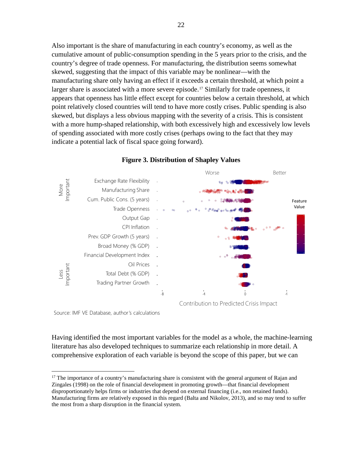Also important is the share of manufacturing in each country's economy, as well as the cumulative amount of public-consumption spending in the 5 years prior to the crisis, and the country's degree of trade openness. For manufacturing, the distribution seems somewhat skewed, suggesting that the impact of this variable may be nonlinear—with the manufacturing share only having an effect if it exceeds a certain threshold, at which point a larger share is associated with a more severe episode.<sup>[17](#page-22-0)</sup> Similarly for trade openness, it appears that openness has little effect except for countries below a certain threshold, at which point relatively closed countries will tend to have more costly crises. Public spending is also skewed, but displays a less obvious mapping with the severity of a crisis. This is consistent with a more hump-shaped relationship, with both excessively high and excessively low levels of spending associated with more costly crises (perhaps owing to the fact that they may indicate a potential lack of fiscal space going forward).



#### **Figure 3. Distribution of Shapley Values**

Source: IMF VE Database, author's calculations

Having identified the most important variables for the model as a whole, the machine-learning literature has also developed techniques to summarize each relationship in more detail. A comprehensive exploration of each variable is beyond the scope of this paper, but we can

<span id="page-22-0"></span> $17$  The importance of a country's manufacturing share is consistent with the general argument of Rajan and Zingales (1998) on the role of financial development in promoting growth—that financial development disproportionately helps firms or industries that depend on external financing (i.e., non retained funds). Manufacturing firms are relatively exposed in this regard (Balta and Nikolov, 2013), and so may tend to suffer the most from a sharp disruption in the financial system.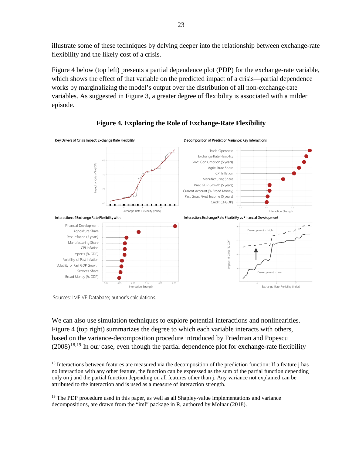illustrate some of these techniques by delving deeper into the relationship between exchange-rate flexibility and the likely cost of a crisis.

Figure 4 below (top left) presents a partial dependence plot (PDP) for the exchange-rate variable, which shows the effect of that variable on the predicted impact of a crisis—partial dependence works by marginalizing the model's output over the distribution of all non-exchange-rate variables. As suggested in Figure 3, a greater degree of flexibility is associated with a milder episode.





Sources: IMF VE Database; author's calculations.

We can also use simulation techniques to explore potential interactions and nonlinearities. Figure 4 (top right) summarizes the degree to which each variable interacts with others, based on the variance-decomposition procedure introduced by Friedman and Popescu  $(2008)^{18,19}$  $(2008)^{18,19}$  $(2008)^{18,19}$  $(2008)^{18,19}$  In our case, even though the partial dependence plot for exchange-rate flexibility

<span id="page-23-0"></span> $18$  Interactions between features are measured via the decomposition of the prediction function: If a feature j has no interaction with any other feature, the function can be expressed as the sum of the partial function depending only on j and the partial function depending on all features other than j. Any variance not explained can be attributed to the interaction and is used as a measure of interaction strength.

<span id="page-23-1"></span><sup>&</sup>lt;sup>19</sup> The PDP procedure used in this paper, as well as all Shapley-value implementations and variance decompositions, are drawn from the "iml" package in R, authored by Molnar (2018).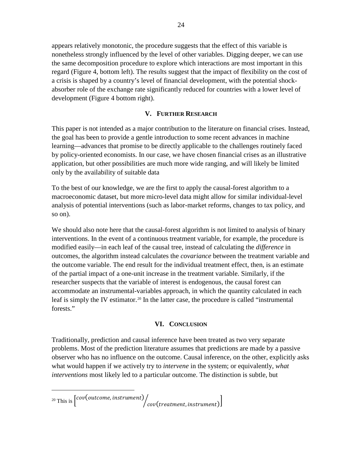appears relatively monotonic, the procedure suggests that the effect of this variable is nonetheless strongly influenced by the level of other variables. Digging deeper, we can use the same decomposition procedure to explore which interactions are most important in this regard (Figure 4, bottom left). The results suggest that the impact of flexibility on the cost of a crisis is shaped by a country's level of financial development, with the potential shockabsorber role of the exchange rate significantly reduced for countries with a lower level of development (Figure 4 bottom right).

# **V. FURTHER RESEARCH**

This paper is not intended as a major contribution to the literature on financial crises. Instead, the goal has been to provide a gentle introduction to some recent advances in machine learning—advances that promise to be directly applicable to the challenges routinely faced by policy-oriented economists. In our case, we have chosen financial crises as an illustrative application, but other possibilities are much more wide ranging, and will likely be limited only by the availability of suitable data

To the best of our knowledge, we are the first to apply the causal-forest algorithm to a macroeconomic dataset, but more micro-level data might allow for similar individual-level analysis of potential interventions (such as labor-market reforms, changes to tax policy, and so on).

We should also note here that the causal-forest algorithm is not limited to analysis of binary interventions. In the event of a continuous treatment variable, for example, the procedure is modified easily—in each leaf of the causal tree, instead of calculating the *difference* in outcomes, the algorithm instead calculates the *covariance* between the treatment variable and the outcome variable. The end result for the individual treatment effect, then, is an estimate of the partial impact of a one-unit increase in the treatment variable. Similarly, if the researcher suspects that the variable of interest is endogenous, the causal forest can accommodate an instrumental-variables approach, in which the quantity calculated in each leaf is simply the IV estimator.<sup>[20](#page-24-0)</sup> In the latter case, the procedure is called "instrumental" forests."

# **VI. CONCLUSION**

<span id="page-24-0"></span>Traditionally, prediction and causal inference have been treated as two very separate problems. Most of the prediction literature assumes that predictions are made by a passive observer who has no influence on the outcome. Causal inference, on the other, explicitly asks what would happen if we actively try to *intervene* in the system; or equivalently, *what interventions* most likely led to a particular outcome. The distinction is subtle, but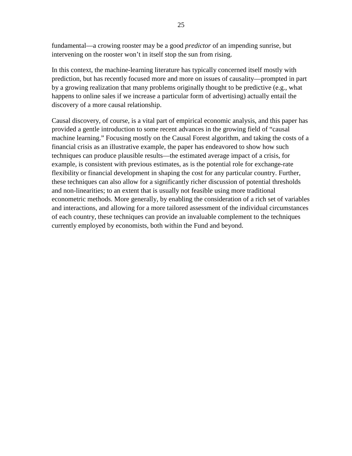fundamental—a crowing rooster may be a good *predictor* of an impending sunrise, but intervening on the rooster won't in itself stop the sun from rising.

In this context, the machine-learning literature has typically concerned itself mostly with prediction, but has recently focused more and more on issues of causality—prompted in part by a growing realization that many problems originally thought to be predictive (e.g., what happens to online sales if we increase a particular form of advertising) actually entail the discovery of a more causal relationship.

Causal discovery, of course, is a vital part of empirical economic analysis, and this paper has provided a gentle introduction to some recent advances in the growing field of "causal machine learning." Focusing mostly on the Causal Forest algorithm, and taking the costs of a financial crisis as an illustrative example, the paper has endeavored to show how such techniques can produce plausible results—the estimated average impact of a crisis, for example, is consistent with previous estimates, as is the potential role for exchange-rate flexibility or financial development in shaping the cost for any particular country. Further, these techniques can also allow for a significantly richer discussion of potential thresholds and non-linearities; to an extent that is usually not feasible using more traditional econometric methods. More generally, by enabling the consideration of a rich set of variables and interactions, and allowing for a more tailored assessment of the individual circumstances of each country, these techniques can provide an invaluable complement to the techniques currently employed by economists, both within the Fund and beyond.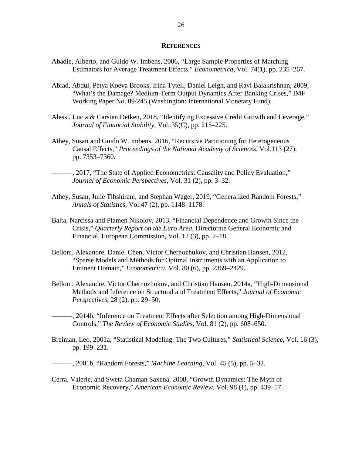#### **REFERENCES**

- Abadie, Alberto, and Guido W. Imbens, 2006, "Large Sample Properties of Matching Estimators for Average Treatment Effects," *Econometrica*, Vol. 74(1), pp. 235–267.
- Abiad, Abdul, Petya Koeva Brooks, Irina Tytell, Daniel Leigh, and Ravi Balakrishnan, 2009, "What's the Damage? Medium-Term Output Dynamics After Banking Crises," IMF Working Paper No. 09/245 (Washington: International Monetary Fund).
- Alessi, Lucia & Carsten Detken, 2018, "Identifying Excessive Credit Growth and Leverage," *Journal of Financial Stability*, Vol. 35(C), pp. 215–225.
- Athey, Susan and Guido W. Imbens, 2016, "Recursive Partitioning for Heterogeneous Causal Effects," *Proceedings of the National Academy of Sciences,* Vol.113 (27), pp. 7353–7360.

———, 2017, "The State of Applied Econometrics: Causality and Policy Evaluation," *Journal of Economic Perspectives*, Vol. 31 (2), pp. 3–32.

- Athey, Susan, Julie Tibshirani, and Stephan Wager, 2019, "Generalized Random Forests," *Annals of Statistics*, Vol.47 (2), pp. 1148–1178.
- Balta, Narcissa and Plamen Nikolov, 2013, "Financial Dependence and Growth Since the Crisis," *Quarterly Report on the Euro Area*, Directorate General Economic and Financial, European Commission, Vol. 12 (3), pp. 7–18.
- Belloni, Alexandre, Daniel Chen, Victor Chernozhukov, and Christian Hansen, 2012, "Sparse Models and Methods for Optimal Instruments with an Application to Eminent Domain," *Econometrica,* Vol. 80 (6), pp. 2369–2429.
- Belloni, Alexandre, Victor Chernozhukov, and Christian Hansen, 2014a, "High-Dimensional Methods and Inference on Structural and Treatment Effects," *Journal of Economic Perspectives*, 28 (2), pp. 29–50.
- ———, 2014b, "Inference on Treatment Effects after Selection among High-Dimensional Controls," *The Review of Economic Studies*, Vol. 81 (2), pp. 608–650.
- Breiman, Leo, 2001a, "Statistical Modeling: The Two Cultures," *Statistical Science*, Vol. 16 (3), pp. 199–231.
- ———, 2001b, "Random Forests," *Machine Learning*, Vol. 45 (5), pp. 5–32.
- Cerra, Valerie, and Sweta Chaman Saxena, 2008, "Growth Dynamics: The Myth of Economic Recovery," *American Economic Review*, Vol. 98 (1), pp. 439–57.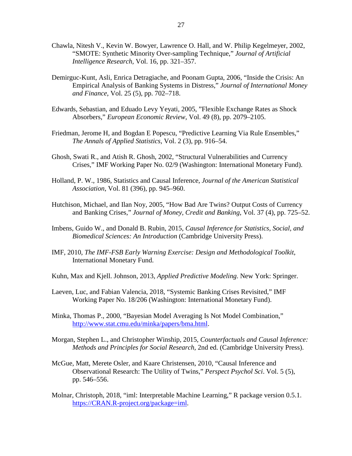- Chawla, Nitesh V., Kevin W. Bowyer, Lawrence O. Hall, and W. Philip Kegelmeyer, 2002, "SMOTE: Synthetic Minority Over-sampling Technique," *Journal of Artificial Intelligence Research,* Vol. 16, pp. 321–357.
- Demirguc-Kunt, Asli, Enrica Detragiache, and Poonam Gupta, 2006, "Inside the Crisis: An Empirical Analysis of Banking Systems in Distress," *Journal of International Money and Finance*, Vol. 25 (5), pp. 702–718.
- Edwards, Sebastian, and Eduado Levy Yeyati, 2005, "Flexible Exchange Rates as Shock Absorbers," *European Economic Review*, Vol. 49 (8), pp. 2079–2105.
- Friedman, Jerome H, and Bogdan E Popescu, "Predictive Learning Via Rule Ensembles," *The Annals of Applied Statistics,* Vol. 2 (3), pp. 916–54.
- Ghosh, Swati R., and Atish R. Ghosh, 2002, "Structural Vulnerabilities and Currency Crises*,*" IMF Working Paper No. 02/9 (Washington: International Monetary Fund).
- Holland, P. W., 1986, Statistics and Causal Inference, *Journal of the American Statistical Association*, Vol. 81 (396), pp. 945–960.
- Hutchison, Michael, and Ilan Noy, 2005, "How Bad Are Twins? Output Costs of Currency and Banking Crises," *Journal of Money, Credit and Banking*, Vol. 37 (4), pp. 725–52.
- Imbens, Guido W., and Donald B. Rubin, 2015, *Causal Inference for Statistics, Social, and Biomedical Sciences: An Introduction* (Cambridge University Press).
- IMF, 2010, *The IMF-FSB Early Warning Exercise: Design and Methodological Toolkit*, International Monetary Fund.
- Kuhn, Max and Kjell. Johnson, 2013, *Applied Predictive Modeling*. New York: Springer.
- Laeven, Luc, and Fabian Valencia, 2018, "Systemic Banking Crises Revisited," IMF Working Paper No. 18/206 (Washington: International Monetary Fund).
- Minka, Thomas P., 2000, "Bayesian Model Averaging Is Not Model Combination," [http://www.stat.cmu.edu/minka/papers/bma.html.](http://www.stat.cmu.edu/minka/papers/bma.html)
- Morgan, Stephen L., and Christopher Winship, 2015, *Counterfactuals and Causal Inference: Methods and Principles for Social Research,* 2nd ed. (Cambridge University Press).
- McGue, Matt, Merete Osler, and Kaare Christensen, 2010, "Causal Inference and Observational Research: The Utility of Twins," *Perspect Psychol Sci*. Vol. 5 (5), pp. 546–556.
- Molnar, Christoph, 2018, "iml: Interpretable Machine Learning," R package version 0.5.1. [https://CRAN.R-project.org/package=iml.](https://cran.r-project.org/package=iml)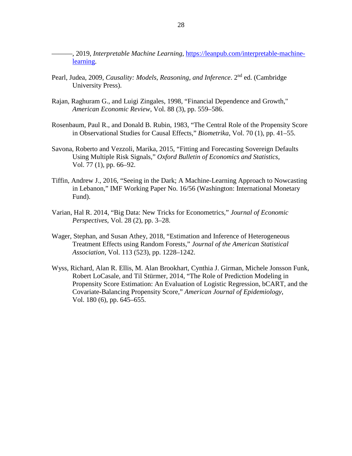- ———, 2019, *Interpretable Machine Learning*, [https://leanpub.com/interpretable-machine](https://leanpub.com/interpretable-machine-learning)[learning.](https://leanpub.com/interpretable-machine-learning)
- Pearl, Judea, 2009, *Causality: Models, Reasoning, and Inference*. 2nd ed. (Cambridge University Press).
- Rajan, Raghuram G., and Luigi Zingales, 1998, "Financial Dependence and Growth," *American Economic Review*, Vol. 88 (3), pp. 559–586.
- Rosenbaum, Paul R., and Donald B. Rubin, 1983, "The Central Role of the Propensity Score in Observational Studies for Causal Effects," *Biometrika*, Vol. 70 (1), pp. 41–55.
- Savona, Roberto and Vezzoli, Marika, 2015, "Fitting and Forecasting Sovereign Defaults Using Multiple Risk Signals," *Oxford Bulletin of Economics and Statistics*, Vol. 77 (1), pp. 66–92.
- Tiffin, Andrew J., 2016, "Seeing in the Dark; A Machine-Learning Approach to Nowcasting in Lebanon," IMF Working Paper No. 16/56 (Washington: International Monetary Fund).
- Varian, Hal R. 2014, "Big Data: New Tricks for Econometrics," *Journal of Economic Perspectives*, Vol. 28 (2), pp. 3–28.
- Wager, Stephan, and Susan Athey, 2018, "Estimation and Inference of Heterogeneous Treatment Effects using Random Forests," *Journal of the American Statistical Association*, Vol. 113 (523), pp. 1228–1242.
- Wyss, Richard, Alan R. Ellis, M. Alan Brookhart, Cynthia J. Girman, Michele Jonsson Funk, Robert LoCasale, and Til Stürmer, 2014, "The Role of Prediction Modeling in Propensity Score Estimation: An Evaluation of Logistic Regression, bCART, and the Covariate-Balancing Propensity Score," *American Journal of Epidemiology*, Vol. 180 (6), pp. 645–655.